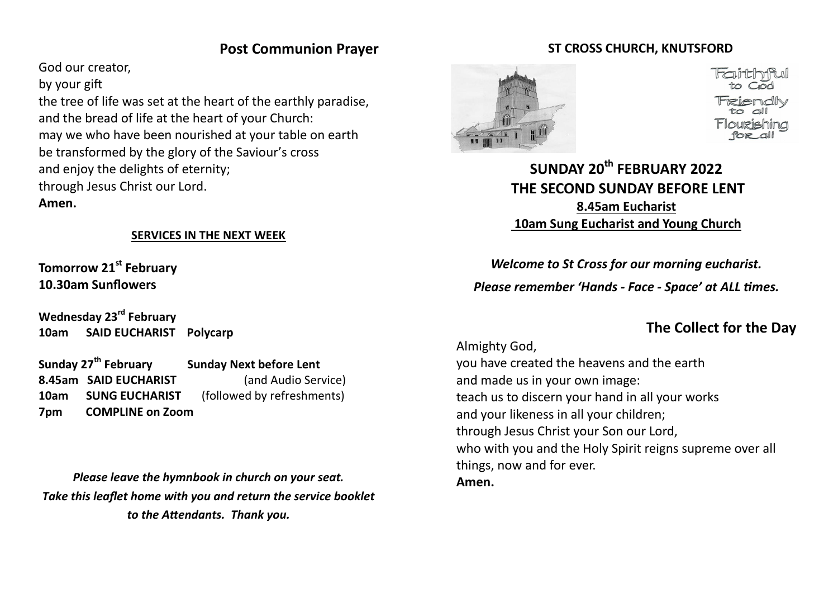# **Post Communion Prayer**

God our creator,

by your gift

the tree of life was set at the heart of the earthly paradise, and the bread of life at the heart of your Church: may we who have been nourished at your table on earth be transformed by the glory of the Saviour's cross and enjoy the delights of eternity; through Jesus Christ our Lord. **Amen.**

#### **SERVICES IN THE NEXT WEEK**

**Tomorrow 21st February 10.30am Sunflowers**

**Wednesday 23rd February 10am SAID EUCHARIST Polycarp**

**Sunday 27th February Sunday Next before Lent 8.45am SAID EUCHARIST** (and Audio Service) **10am SUNG EUCHARIST** (followed by refreshments) **7pm COMPLINE on Zoom**

*Please leave the hymnbook in church on your seat. Take this leaflet home with you and return the service booklet to the Attendants. Thank you.*

## **ST CROSS CHURCH, KNUTSFORD**



**SUNDAY 20th FEBRUARY 2022 THE SECOND SUNDAY BEFORE LENT 8.45am Eucharist 10am Sung Eucharist and Young Church** 

*Welcome to St Cross for our morning eucharist. Please remember 'Hands - Face - Space' at ALL times.*

# **The Collect for the Day**

Almighty God, you have created the heavens and the earth and made us in your own image: teach us to discern your hand in all your works and your likeness in all your children; through Jesus Christ your Son our Lord, who with you and the Holy Spirit reigns supreme over all things, now and for ever. **Amen.**